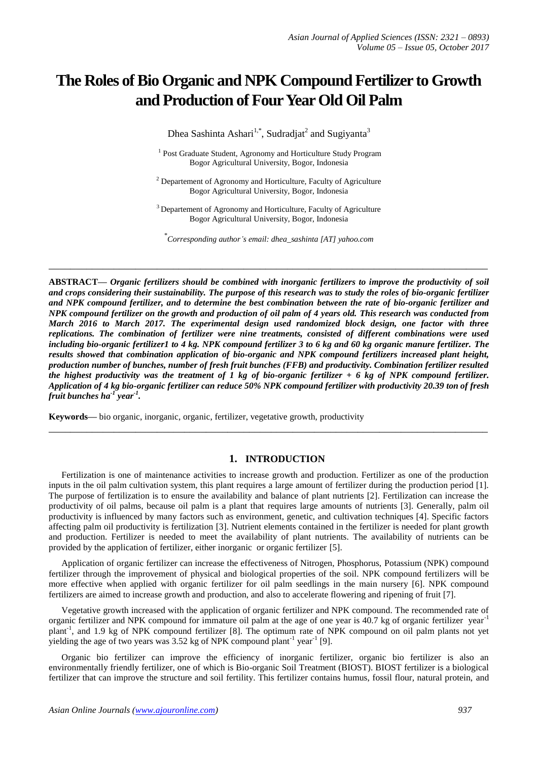# **The Roles of Bio Organic and NPK Compound Fertilizer to Growth and Production of Four Year Old Oil Palm**

Dhea Sashinta Ashari<sup>1,\*</sup>, Sudradjat<sup>2</sup> and Sugiyanta<sup>3</sup>

<sup>1</sup> Post Graduate Student, Agronomy and Horticulture Study Program Bogor Agricultural University, Bogor, Indonesia

 $2$  Departement of Agronomy and Horticulture, Faculty of Agriculture Bogor Agricultural University, Bogor, Indonesia

<sup>3</sup> Departement of Agronomy and Horticulture, Faculty of Agriculture Bogor Agricultural University, Bogor, Indonesia

\* *Corresponding author's email: dhea\_sashinta [AT] yahoo.com*

**\_\_\_\_\_\_\_\_\_\_\_\_\_\_\_\_\_\_\_\_\_\_\_\_\_\_\_\_\_\_\_\_\_\_\_\_\_\_\_\_\_\_\_\_\_\_\_\_\_\_\_\_\_\_\_\_\_\_\_\_\_\_\_\_\_\_\_\_\_\_\_\_\_\_\_\_\_\_\_\_\_**

**ABSTRACT—** *Organic fertilizers should be combined with inorganic fertilizers to improve the productivity of soil and crops considering their sustainability. The purpose of this research was to study the roles of bio-organic fertilizer and NPK compound fertilizer, and to determine the best combination between the rate of bio-organic fertilizer and NPK compound fertilizer on the growth and production of oil palm of 4 years old. This research was conducted from March 2016 to March 2017. The experimental design used randomized block design, one factor with three replications. The combination of fertilizer were nine treatments, consisted of different combinations were used including bio-organic fertilizer1 to 4 kg. NPK compound fertilizer 3 to 6 kg and 60 kg organic manure fertilizer. The results showed that combination application of bio-organic and NPK compound fertilizers increased plant height, production number of bunches, number of fresh fruit bunches (FFB) and productivity. Combination fertilizer resulted the highest productivity was the treatment of 1 kg of bio-organic fertilizer + 6 kg of NPK compound fertilizer. Application of 4 kg bio-organic fertilizer can reduce 50% NPK compound fertilizer with productivity 20.39 ton of fresh fruit bunches ha-1 year-1 .* 

**Keywords—** bio organic, inorganic, organic, fertilizer, vegetative growth, productivity

# **1. INTRODUCTION**

**\_\_\_\_\_\_\_\_\_\_\_\_\_\_\_\_\_\_\_\_\_\_\_\_\_\_\_\_\_\_\_\_\_\_\_\_\_\_\_\_\_\_\_\_\_\_\_\_\_\_\_\_\_\_\_\_\_\_\_\_\_\_\_\_\_\_\_\_\_\_\_\_\_\_\_\_\_\_\_\_\_**

Fertilization is one of maintenance activities to increase growth and production. Fertilizer as one of the production inputs in the oil palm cultivation system, this plant requires a large amount of fertilizer during the production period [1]. The purpose of fertilization is to ensure the availability and balance of plant nutrients [2]. Fertilization can increase the productivity of oil palms, because oil palm is a plant that requires large amounts of nutrients [3]. Generally, palm oil productivity is influenced by many factors such as environment, genetic, and cultivation techniques [4]. Specific factors affecting palm oil productivity is fertilization [3]. Nutrient elements contained in the fertilizer is needed for plant growth and production. Fertilizer is needed to meet the availability of plant nutrients. The availability of nutrients can be provided by the application of fertilizer, either inorganic or organic fertilizer [5].

Application of organic fertilizer can increase the effectiveness of Nitrogen, Phosphorus, Potassium (NPK) compound fertilizer through the improvement of physical and biological properties of the soil. NPK compound fertilizers will be more effective when applied with organic fertilizer for oil palm seedlings in the main nursery [6]. NPK compound fertilizers are aimed to increase growth and production, and also to accelerate flowering and ripening of fruit [7].

Vegetative growth increased with the application of organic fertilizer and NPK compound. The recommended rate of organic fertilizer and NPK compound for immature oil palm at the age of one year is 40.7 kg of organic fertilizer year<sup>-1</sup> plant<sup>-1</sup>, and 1.9 kg of NPK compound fertilizer [8]. The optimum rate of NPK compound on oil palm plants not yet yielding the age of two years was  $3.52$  kg of NPK compound plant<sup>-1</sup> year<sup>-1</sup> [9].

Organic bio fertilizer can improve the efficiency of inorganic fertilizer, organic bio fertilizer is also an environmentally friendly fertilizer, one of which is Bio-organic Soil Treatment (BIOST). BIOST fertilizer is a biological fertilizer that can improve the structure and soil fertility. This fertilizer contains humus, fossil flour, natural protein, and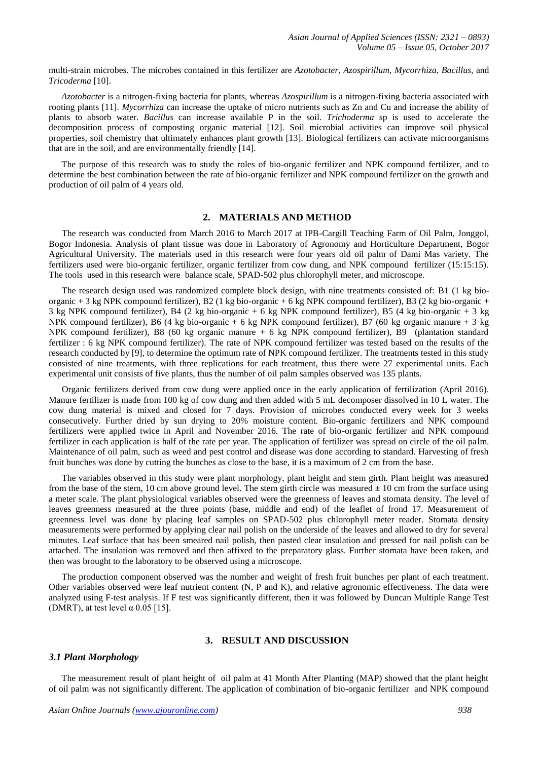multi-strain microbes. The microbes contained in this fertilizer are *Azotobacter*, *Azospirillum*, *Mycorrhiza*, *Bacillus*, and *Tricoderma* [10].

*Azotobacter* is a nitrogen-fixing bacteria for plants, whereas *Azospirillum* is a nitrogen-fixing bacteria associated with rooting plants [11]. *Mycorrhiza* can increase the uptake of micro nutrients such as Zn and Cu and increase the ability of plants to absorb water. *Bacillus* can increase available P in the soil. *Trichoderma* sp is used to accelerate the decomposition process of composting organic material [12]. Soil microbial activities can improve soil physical properties, soil chemistry that ultimately enhances plant growth [13]. Biological fertilizers can activate microorganisms that are in the soil, and are environmentally friendly [14].

The purpose of this research was to study the roles of bio-organic fertilizer and NPK compound fertilizer, and to determine the best combination between the rate of bio-organic fertilizer and NPK compound fertilizer on the growth and production of oil palm of 4 years old.

# **2. MATERIALS AND METHOD**

The research was conducted from March 2016 to March 2017 at IPB-Cargill Teaching Farm of Oil Palm, Jonggol, Bogor Indonesia. Analysis of plant tissue was done in Laboratory of Agronomy and Horticulture Department, Bogor Agricultural University. The materials used in this research were four years old oil palm of Dami Mas variety. The fertilizers used were bio-organic fertilizer, organic fertilizer from cow dung, and NPK compound fertilizer (15:15:15). The tools used in this research were balance scale, SPAD-502 plus chlorophyll meter, and microscope.

The research design used was randomized complete block design, with nine treatments consisted of: B1 (1 kg bioorganic + 3 kg NPK compound fertilizer), B2 (1 kg bio-organic + 6 kg NPK compound fertilizer), B3 (2 kg bio-organic + 3 kg NPK compound fertilizer), B4 (2 kg bio-organic + 6 kg NPK compound fertilizer), B5 (4 kg bio-organic + 3 kg NPK compound fertilizer), B6 (4 kg bio-organic + 6 kg NPK compound fertilizer), B7 (60 kg organic manure + 3 kg NPK compound fertilizer), B8 (60 kg organic manure + 6 kg NPK compound fertilizer), B9 (plantation standard fertilizer : 6 kg NPK compound fertilizer). The rate of NPK compound fertilizer was tested based on the results of the research conducted by [9], to determine the optimum rate of NPK compound fertilizer. The treatments tested in this study consisted of nine treatments, with three replications for each treatment, thus there were 27 experimental units. Each experimental unit consists of five plants, thus the number of oil palm samples observed was 135 plants.

Organic fertilizers derived from cow dung were applied once in the early application of fertilization (April 2016). Manure fertilizer is made from 100 kg of cow dung and then added with 5 mL decomposer dissolved in 10 L water. The cow dung material is mixed and closed for 7 days. Provision of microbes conducted every week for 3 weeks consecutively. Further dried by sun drying to 20% moisture content. Bio-organic fertilizers and NPK compound fertilizers were applied twice in April and November 2016. The rate of bio-organic fertilizer and NPK compound fertilizer in each application is half of the rate per year. The application of fertilizer was spread on circle of the oil palm. Maintenance of oil palm, such as weed and pest control and disease was done according to standard. Harvesting of fresh fruit bunches was done by cutting the bunches as close to the base, it is a maximum of 2 cm from the base.

The variables observed in this study were plant morphology, plant height and stem girth. Plant height was measured from the base of the stem, 10 cm above ground level. The stem girth circle was measured  $\pm$  10 cm from the surface using a meter scale. The plant physiological variables observed were the greenness of leaves and stomata density. The level of leaves greenness measured at the three points (base, middle and end) of the leaflet of frond 17. Measurement of greenness level was done by placing leaf samples on SPAD-502 plus chlorophyll meter reader. Stomata density measurements were performed by applying clear nail polish on the underside of the leaves and allowed to dry for several minutes. Leaf surface that has been smeared nail polish, then pasted clear insulation and pressed for nail polish can be attached. The insulation was removed and then affixed to the preparatory glass. Further stomata have been taken, and then was brought to the laboratory to be observed using a microscope.

The production component observed was the number and weight of fresh fruit bunches per plant of each treatment. Other variables observed were leaf nutrient content (N, P and K), and relative agronomic effectiveness. The data were analyzed using F-test analysis. If F test was significantly different, then it was followed by Duncan Multiple Range Test (DMRT), at test level  $\alpha$  0.05 [15].

## **3. RESULT AND DISCUSSION**

### *3.1 Plant Morphology*

The measurement result of plant height of oil palm at 41 Month After Planting (MAP) showed that the plant height of oil palm was not significantly different. The application of combination of bio-organic fertilizer and NPK compound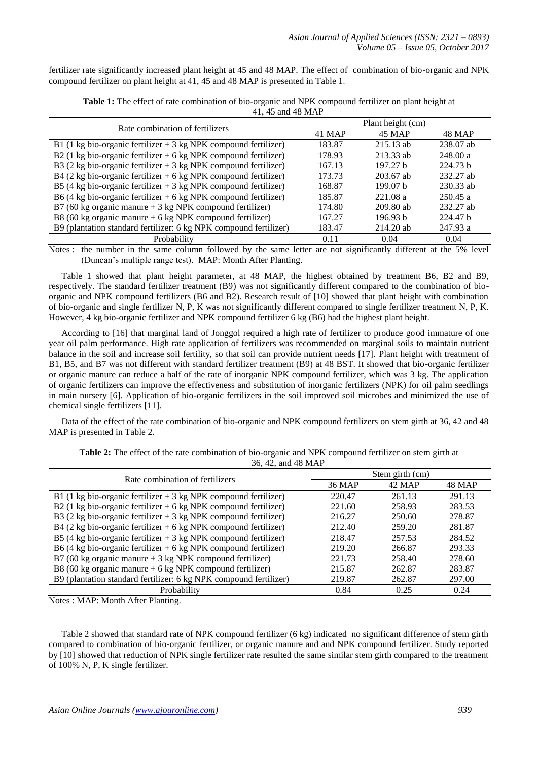fertilizer rate significantly increased plant height at 45 and 48 MAP. The effect of combination of bio-organic and NPK compound fertilizer on plant height at 41, 45 and 48 MAP is presented in Table 1.

| Rate combination of fertilizers                                   | Plant height (cm) |                     |                     |  |
|-------------------------------------------------------------------|-------------------|---------------------|---------------------|--|
|                                                                   | 41 MAP            | 45 MAP              | 48 MAP              |  |
| B1 (1 kg bio-organic fertilizer $+$ 3 kg NPK compound fertilizer) | 183.87            | $215.13$ ab         | $238.07$ ab         |  |
| B2 (1 kg bio-organic fertilizer $+$ 6 kg NPK compound fertilizer) | 178.93            | $213.33$ ab         | 248.00 a            |  |
| B3 (2 kg bio-organic fertilizer $+$ 3 kg NPK compound fertilizer) | 167.13            | 197.27 h            | 224.73 <sub>b</sub> |  |
| B4 (2 kg bio-organic fertilizer $+ 6$ kg NPK compound fertilizer) | 173.73            | $203.67$ ab         | 232.27 ab           |  |
| B5 (4 kg bio-organic fertilizer $+$ 3 kg NPK compound fertilizer) | 168.87            | 199.07 <sub>b</sub> | $230.33$ ab         |  |
| B6 (4 kg bio-organic fertilizer $+$ 6 kg NPK compound fertilizer) | 185.87            | 221.08 a            | 250.45a             |  |
| B7 (60 kg organic manure $+$ 3 kg NPK compound fertilizer)        | 174.80            | $209.80$ ab         | 232.27 ab           |  |
| B8 (60 kg organic manure $+$ 6 kg NPK compound fertilizer)        | 167.27            | 196.93 h            | 224.47 b            |  |
| B9 (plantation standard fertilizer: 6 kg NPK compound fertilizer) | 183.47            | $214.20$ ab         | 247.93 a            |  |
| Probability                                                       | 0.11              | 0.04                | 0.04                |  |

**Table 1:** The effect of rate combination of bio-organic and NPK compound fertilizer on plant height at 41, 45 and 48 MAP

Notes : the number in the same column followed by the same letter are not significantly different at the 5% level (Duncan's multiple range test). MAP: Month After Planting.

Table 1 showed that plant height parameter, at 48 MAP, the highest obtained by treatment B6, B2 and B9, respectively. The standard fertilizer treatment (B9) was not significantly different compared to the combination of bioorganic and NPK compound fertilizers (B6 and B2). Research result of [10] showed that plant height with combination of bio-organic and single fertilizer N, P, K was not significantly different compared to single fertilizer treatment N, P, K. However, 4 kg bio-organic fertilizer and NPK compound fertilizer 6 kg (B6) had the highest plant height.

According to [16] that marginal land of Jonggol required a high rate of fertilizer to produce good immature of one year oil palm performance. High rate application of fertilizers was recommended on marginal soils to maintain nutrient balance in the soil and increase soil fertility, so that soil can provide nutrient needs [17]. Plant height with treatment of B1, B5, and B7 was not different with standard fertilizer treatment (B9) at 48 BST. It showed that bio-organic fertilizer or organic manure can reduce a half of the rate of inorganic NPK compound fertilizer, which was 3 kg. The application of organic fertilizers can improve the effectiveness and substitution of inorganic fertilizers (NPK) for oil palm seedlings in main nursery [6]. Application of bio-organic fertilizers in the soil improved soil microbes and minimized the use of chemical single fertilizers [11].

Data of the effect of the rate combination of bio-organic and NPK compound fertilizers on stem girth at 36, 42 and 48 MAP is presented in Table 2.

| Rate combination of fertilizers                                   | Stem girth (cm) |        |        |
|-------------------------------------------------------------------|-----------------|--------|--------|
|                                                                   | 36 MAP          | 42 MAP | 48 MAP |
| B1 (1 kg bio-organic fertilizer $+$ 3 kg NPK compound fertilizer) | 220.47          | 261.13 | 291.13 |
| B2 (1 kg bio-organic fertilizer $+$ 6 kg NPK compound fertilizer) | 221.60          | 258.93 | 283.53 |
| B3 (2 kg bio-organic fertilizer $+$ 3 kg NPK compound fertilizer) | 216.27          | 250.60 | 278.87 |
| B4 (2 kg bio-organic fertilizer $+$ 6 kg NPK compound fertilizer) | 212.40          | 259.20 | 281.87 |
| B5 (4 kg bio-organic fertilizer $+$ 3 kg NPK compound fertilizer) | 218.47          | 257.53 | 284.52 |
| B6 (4 kg bio-organic fertilizer $+$ 6 kg NPK compound fertilizer) | 219.20          | 266.87 | 293.33 |
| B7 (60 kg organic manure $+3$ kg NPK compound fertilizer)         | 221.73          | 258.40 | 278.60 |
| B8 (60 kg organic manure $+$ 6 kg NPK compound fertilizer)        | 215.87          | 262.87 | 283.87 |
| B9 (plantation standard fertilizer: 6 kg NPK compound fertilizer) | 219.87          | 262.87 | 297.00 |
| Probability                                                       | 0.84            | 0.25   | 0.24   |

**Table 2:** The effect of the rate combination of bio-organic and NPK compound fertilizer on stem girth at

36, 42, and 48 MAP

Notes : MAP: Month After Planting.

Table 2 showed that standard rate of NPK compound fertilizer (6 kg) indicated no significant difference of stem girth compared to combination of bio-organic fertilizer, or organic manure and and NPK compound fertilizer. Study reported by [10] showed that reduction of NPK single fertilizer rate resulted the same similar stem girth compared to the treatment of 100% N, P, K single fertilizer.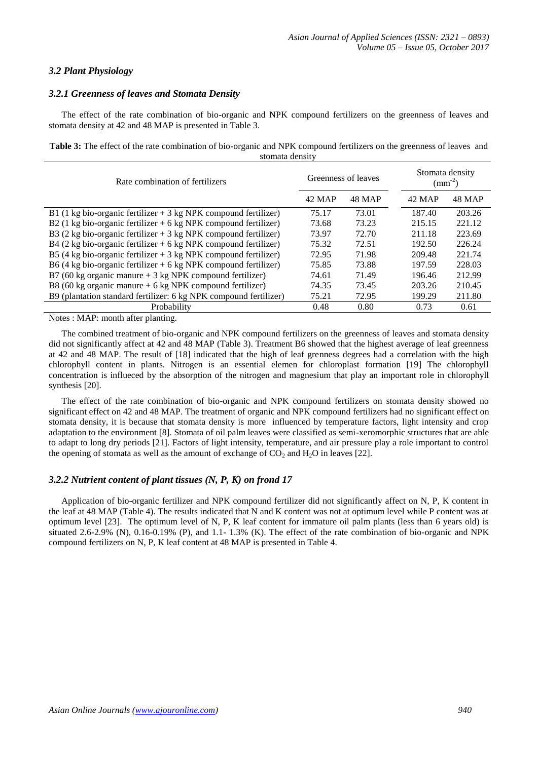# *3.2 Plant Physiology*

# *3.2.1 Greenness of leaves and Stomata Density*

The effect of the rate combination of bio-organic and NPK compound fertilizers on the greenness of leaves and stomata density at 42 and 48 MAP is presented in Table 3.

**Table 3:** The effect of the rate combination of bio-organic and NPK compound fertilizers on the greenness of leaves and stomata density

| Rate combination of fertilizers                                   | Greenness of leaves |               | Stomata density<br>$\text{(mm}^{-2})$ |               |
|-------------------------------------------------------------------|---------------------|---------------|---------------------------------------|---------------|
|                                                                   | 42 MAP              | <b>48 MAP</b> | 42 MAP                                | <b>48 MAP</b> |
| B1 (1 kg bio-organic fertilizer $+$ 3 kg NPK compound fertilizer) | 75.17               | 73.01         | 187.40                                | 203.26        |
| B2 (1 kg bio-organic fertilizer $+$ 6 kg NPK compound fertilizer) | 73.68               | 73.23         | 215.15                                | 221.12        |
| B3 (2 kg bio-organic fertilizer $+$ 3 kg NPK compound fertilizer) | 73.97               | 72.70         | 211.18                                | 223.69        |
| B4 (2 kg bio-organic fertilizer $+$ 6 kg NPK compound fertilizer) | 75.32               | 72.51         | 192.50                                | 226.24        |
| B5 (4 kg bio-organic fertilizer $+$ 3 kg NPK compound fertilizer) | 72.95               | 71.98         | 209.48                                | 221.74        |
| B6 (4 kg bio-organic fertilizer $+$ 6 kg NPK compound fertilizer) | 75.85               | 73.88         | 197.59                                | 228.03        |
| B7 (60 kg organic manure $+3$ kg NPK compound fertilizer)         | 74.61               | 71.49         | 196.46                                | 212.99        |
| B8 (60 kg organic manure $+6$ kg NPK compound fertilizer)         | 74.35               | 73.45         | 203.26                                | 210.45        |
| B9 (plantation standard fertilizer: 6 kg NPK compound fertilizer) | 75.21               | 72.95         | 199.29                                | 211.80        |
| Probability                                                       | 0.48                | 0.80          | 0.73                                  | 0.61          |

Notes : MAP: month after planting.

The combined treatment of bio-organic and NPK compound fertilizers on the greenness of leaves and stomata density did not significantly affect at 42 and 48 MAP (Table 3). Treatment B6 showed that the highest average of leaf greenness at 42 and 48 MAP. The result of [18] indicated that the high of leaf grenness degrees had a correlation with the high chlorophyll content in plants. Nitrogen is an essential elemen for chloroplast formation [19] The chlorophyll concentration is influeced by the absorption of the nitrogen and magnesium that play an important role in chlorophyll synthesis [20].

The effect of the rate combination of bio-organic and NPK compound fertilizers on stomata density showed no significant effect on 42 and 48 MAP. The treatment of organic and NPK compound fertilizers had no significant effect on stomata density, it is because that stomata density is more influenced by temperature factors, light intensity and crop adaptation to the environment [8]. Stomata of oil palm leaves were classified as semi-xeromorphic structures that are able to adapt to long dry periods [21]. Factors of light intensity, temperature, and air pressure play a role important to control the opening of stomata as well as the amount of exchange of  $CO<sub>2</sub>$  and  $H<sub>2</sub>O$  in leaves [22].

# *3.2.2 Nutrient content of plant tissues (N, P, K) on frond 17*

Application of bio-organic fertilizer and NPK compound fertilizer did not significantly affect on N, P, K content in the leaf at 48 MAP (Table 4). The results indicated that N and K content was not at optimum level while P content was at optimum level [23]. The optimum level of N, P, K leaf content for immature oil palm plants (less than 6 years old) is situated 2.6-2.9% (N), 0.16-0.19% (P), and 1.1- 1.3% (K). The effect of the rate combination of bio-organic and NPK compound fertilizers on N, P, K leaf content at 48 MAP is presented in Table 4.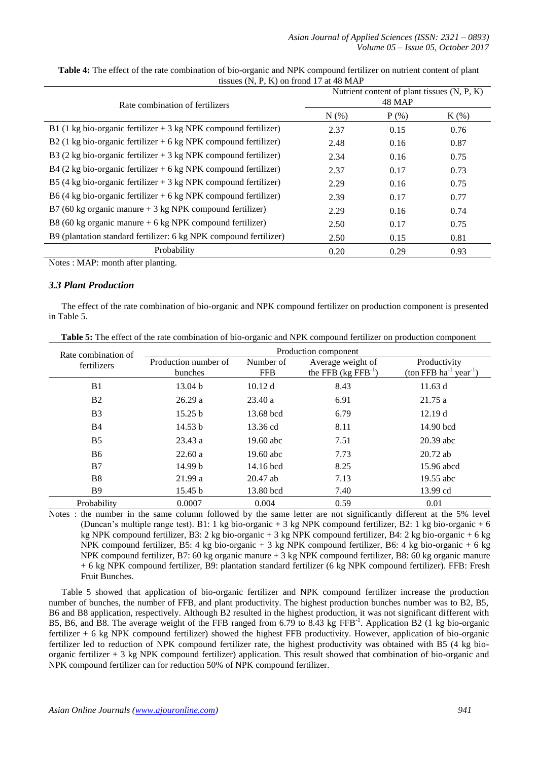| Rate combination of fertilizers                                                   | Nutrient content of plant tissues $(N, P, K)$<br>48 MAP |         |         |  |
|-----------------------------------------------------------------------------------|---------------------------------------------------------|---------|---------|--|
|                                                                                   | $N(\%)$                                                 | $P$ (%) | $K(\%)$ |  |
| B1 (1 kg bio-organic fertilizer $+$ 3 kg NPK compound fertilizer)                 | 2.37                                                    | 0.15    | 0.76    |  |
| B2 (1 kg bio-organic fertilizer $+$ 6 kg NPK compound fertilizer)                 | 2.48                                                    | 0.16    | 0.87    |  |
| B3 (2 kg bio-organic fertilizer $+$ 3 kg NPK compound fertilizer)                 | 2.34                                                    | 0.16    | 0.75    |  |
| B4 $(2 \text{ kg bio-organic fertilizer} + 6 \text{ kg NPK compound fertilizer})$ | 2.37                                                    | 0.17    | 0.73    |  |
| B5 (4 kg bio-organic fertilizer $+$ 3 kg NPK compound fertilizer)                 | 2.29                                                    | 0.16    | 0.75    |  |
| B6 (4 kg bio-organic fertilizer $+$ 6 kg NPK compound fertilizer)                 | 2.39                                                    | 0.17    | 0.77    |  |
| B7 (60 kg organic manure $+3$ kg NPK compound fertilizer)                         | 2.29                                                    | 0.16    | 0.74    |  |
| B8 (60 kg organic manure $+6$ kg NPK compound fertilizer)                         | 2.50                                                    | 0.17    | 0.75    |  |
| B9 (plantation standard fertilizer: 6 kg NPK compound fertilizer)                 | 2.50                                                    | 0.15    | 0.81    |  |
| Probability                                                                       | 0.20                                                    | 0.29    | 0.93    |  |

**Table 4:** The effect of the rate combination of bio-organic and NPK compound fertilizer on nutrient content of plant tissues (N, P, K) on frond 17 at 48 MAP

Notes : MAP: month after planting.

## *3.3 Plant Production*

The effect of the rate combination of bio-organic and NPK compound fertilizer on production component is presented in Table 5.

| Rate combination of | Production component |             |                             |                                              |
|---------------------|----------------------|-------------|-----------------------------|----------------------------------------------|
| fertilizers         | Production number of | Number of   | Average weight of           | Productivity                                 |
|                     | bunches              | <b>FFB</b>  | the FFB $(kg$ FFB $^{-1}$ ) | $(\text{ton FFB ha}^{-1} \text{ year}^{-1})$ |
| B1                  | 13.04 <sub>b</sub>   | 10.12 d     | 8.43                        | 11.63 d                                      |
| <b>B2</b>           | 26.29a               | 23.40a      | 6.91                        | 21.75 a                                      |
| B <sub>3</sub>      | 15.25 b              | 13.68 bcd   | 6.79                        | 12.19d                                       |
| <b>B4</b>           | 14.53 b              | 13.36 cd    | 8.11                        | 14.90 bcd                                    |
| B <sub>5</sub>      | 23.43a               | 19.60 abc   | 7.51                        | $20.39$ abc                                  |
| <b>B6</b>           | 22.60a               | $19.60$ abc | 7.73                        | $20.72$ ab                                   |
| B7                  | 14.99 b              | 14.16 bcd   | 8.25                        | 15.96 abcd                                   |
| <b>B8</b>           | 21.99a               | $20.47$ ab  | 7.13                        | 19.55 abc                                    |
| <b>B</b> 9          | 15.45 b              | 13.80 bcd   | 7.40                        | 13.99 cd                                     |
| Probability         | 0.0007               | 0.004       | 0.59                        | 0.01                                         |

**Table 5:** The effect of the rate combination of bio-organic and NPK compound fertilizer on production component

Notes : the number in the same column followed by the same letter are not significantly different at the 5% level (Duncan's multiple range test). B1: 1 kg bio-organic + 3 kg NPK compound fertilizer, B2: 1 kg bio-organic + 6 kg NPK compound fertilizer, B3: 2 kg bio-organic + 3 kg NPK compound fertilizer, B4: 2 kg bio-organic + 6 kg NPK compound fertilizer, B5: 4 kg bio-organic + 3 kg NPK compound fertilizer, B6: 4 kg bio-organic + 6 kg NPK compound fertilizer, B7: 60 kg organic manure + 3 kg NPK compound fertilizer, B8: 60 kg organic manure + 6 kg NPK compound fertilizer, B9: plantation standard fertilizer (6 kg NPK compound fertilizer). FFB: Fresh Fruit Bunches.

Table 5 showed that application of bio-organic fertilizer and NPK compound fertilizer increase the production number of bunches, the number of FFB, and plant productivity. The highest production bunches number was to B2, B5, B6 and B8 application, respectively. Although B2 resulted in the highest production, it was not significant different with B5, B6, and B8. The average weight of the FFB ranged from 6.79 to 8.43 kg FFB<sup>-1</sup>. Application B2 (1 kg bio-organic fertilizer + 6 kg NPK compound fertilizer) showed the highest FFB productivity. However, application of bio-organic fertilizer led to reduction of NPK compound fertilizer rate, the highest productivity was obtained with B5 (4 kg bioorganic fertilizer + 3 kg NPK compound fertilizer) application. This result showed that combination of bio-organic and NPK compound fertilizer can for reduction 50% of NPK compound fertilizer.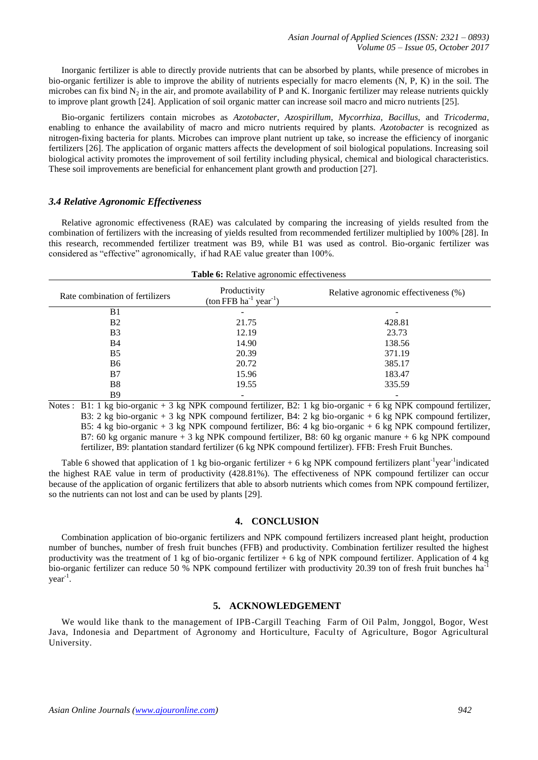Inorganic fertilizer is able to directly provide nutrients that can be absorbed by plants, while presence of microbes in bio-organic fertilizer is able to improve the ability of nutrients especially for macro elements (N, P, K) in the soil. The microbes can fix bind  $N_2$  in the air, and promote availability of P and K. Inorganic fertilizer may release nutrients quickly to improve plant growth [24]. Application of soil organic matter can increase soil macro and micro nutrients [25].

Bio-organic fertilizers contain microbes as *Azotobacter*, *Azospirillum*, *Mycorrhiza*, *Bacillus*, and *Tricoderma*, enabling to enhance the availability of macro and micro nutrients required by plants. *Azotobacter* is recognized as nitrogen-fixing bacteria for plants. Microbes can improve plant nutrient up take, so increase the efficiency of inorganic fertilizers [26]. The application of organic matters affects the development of soil biological populations. Increasing soil biological activity promotes the improvement of soil fertility including physical, chemical and biological characteristics. These soil improvements are beneficial for enhancement plant growth and production [27].

### *3.4 Relative Agronomic Effectiveness*

Relative agronomic effectiveness (RAE) was calculated by comparing the increasing of yields resulted from the combination of fertilizers with the increasing of yields resulted from recommended fertilizer multiplied by 100% [28]. In this research, recommended fertilizer treatment was B9, while B1 was used as control. Bio-organic fertilizer was considered as "effective" agronomically, if had RAE value greater than 100%.

| <b>Table 6:</b> Relative agronomic effectiveness |                                                                      |                                      |  |
|--------------------------------------------------|----------------------------------------------------------------------|--------------------------------------|--|
| Rate combination of fertilizers                  | Productivity<br>$(\text{ton FFB} \text{ ha}^{-1} \text{ year}^{-1})$ | Relative agronomic effectiveness (%) |  |
| B <sub>1</sub>                                   |                                                                      |                                      |  |
| B <sub>2</sub>                                   | 21.75                                                                | 428.81                               |  |
| B <sub>3</sub>                                   | 12.19                                                                | 23.73                                |  |
| <b>B4</b>                                        | 14.90                                                                | 138.56                               |  |
| B <sub>5</sub>                                   | 20.39                                                                | 371.19                               |  |
| B <sub>6</sub>                                   | 20.72                                                                | 385.17                               |  |
| B7                                               | 15.96                                                                | 183.47                               |  |
| B8                                               | 19.55                                                                | 335.59                               |  |
| B <sub>9</sub>                                   |                                                                      |                                      |  |

Notes : B1: 1 kg bio-organic + 3 kg NPK compound fertilizer, B2: 1 kg bio-organic + 6 kg NPK compound fertilizer, B3: 2 kg bio-organic + 3 kg NPK compound fertilizer, B4: 2 kg bio-organic + 6 kg NPK compound fertilizer, B5: 4 kg bio-organic + 3 kg NPK compound fertilizer, B6: 4 kg bio-organic + 6 kg NPK compound fertilizer, B7: 60 kg organic manure + 3 kg NPK compound fertilizer, B8: 60 kg organic manure + 6 kg NPK compound fertilizer, B9: plantation standard fertilizer (6 kg NPK compound fertilizer). FFB: Fresh Fruit Bunches.

Table 6 showed that application of 1 kg bio-organic fertilizer  $+$  6 kg NPK compound fertilizers plant<sup>-1</sup>year<sup>-1</sup>indicated the highest RAE value in term of productivity (428.81%). The effectiveness of NPK compound fertilizer can occur because of the application of organic fertilizers that able to absorb nutrients which comes from NPK compound fertilizer, so the nutrients can not lost and can be used by plants [29].

# **4. CONCLUSION**

Combination application of bio-organic fertilizers and NPK compound fertilizers increased plant height, production number of bunches, number of fresh fruit bunches (FFB) and productivity. Combination fertilizer resulted the highest productivity was the treatment of 1 kg of bio-organic fertilizer  $+ 6$  kg of NPK compound fertilizer. Application of 4 kg bio-organic fertilizer can reduce 50 % NPK compound fertilizer with productivity 20.39 ton of fresh fruit bunches ha<sup>-</sup> year-1 .

## **5. ACKNOWLEDGEMENT**

We would like thank to the management of IPB-Cargill Teaching Farm of Oil Palm, Jonggol, Bogor, West Java, Indonesia and Department of Agronomy and Horticulture, Faculty of Agriculture, Bogor Agricultural University.